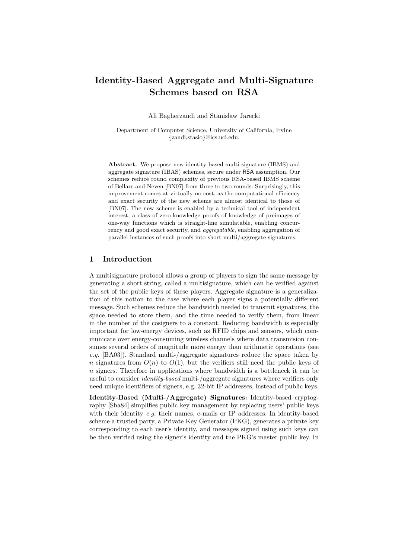# Identity-Based Aggregate and Multi-Signature Schemes based on RSA

Ali Bagherzandi and Stanisław Jarecki

Department of Computer Science, University of California, Irvine {zandi,stasio}@ics.uci.edu.

Abstract. We propose new identity-based multi-signature (IBMS) and aggregate signature (IBAS) schemes, secure under RSA assumption. Our schemes reduce round complexity of previous RSA-based IBMS scheme of Bellare and Neven [BN07] from three to two rounds. Surprisingly, this improvement comes at virtually no cost, as the computational efficiency and exact security of the new scheme are almost identical to those of [BN07]. The new scheme is enabled by a technical tool of independent interest, a class of zero-knowledge proofs of knowledge of preimages of one-way functions which is straight-line simulatable, enabling concurrency and good exact security, and aggregatable, enabling aggregation of parallel instances of such proofs into short multi/aggregate signatures.

### 1 Introduction

A multisignature protocol allows a group of players to sign the same message by generating a short string, called a multisignature, which can be verified against the set of the public keys of these players. Aggregate signature is a generalization of this notion to the case where each player signs a potentially different message. Such schemes reduce the bandwidth needed to transmit signatures, the space needed to store them, and the time needed to verify them, from linear in the number of the cosigners to a constant. Reducing bandwidth is especially important for low-energy devices, such as RFID chips and sensors, which communicate over energy-consuming wireless channels where data transmision consumes several orders of magnitude more energy than arithmetic operations (see e.g. [BA03]). Standard multi-/aggregate signatures reduce the space taken by n signatures from  $O(n)$  to  $O(1)$ , but the verifiers still need the public keys of n signers. Therefore in applications where bandwidth is a bottleneck it can be useful to consider *identity-based* multi-/aggregate signatures where verifiers only need unique identifiers of signers, e.g. 32-bit IP addresses, instead of public keys.

Identity-Based (Multi-/Aggregate) Signatures: Identity-based cryptography [Sha84] simplifies public key management by replacing users' public keys with their identity  $e.g.$  their names, e-mails or IP addresses. In identity-based scheme a trusted party, a Private Key Generator (PKG), generates a private key corresponding to each user's identity, and messages signed using such keys can be then verified using the signer's identity and the PKG's master public key. In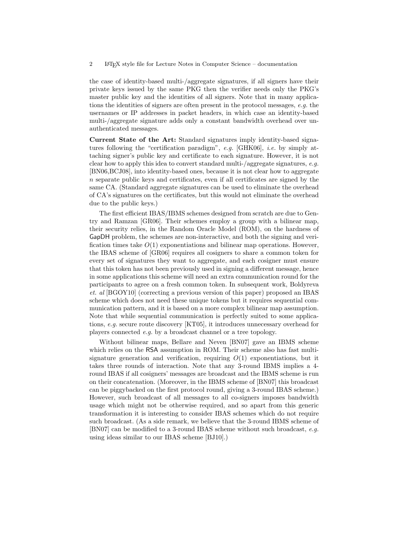the case of identity-based multi-/aggregate signatures, if all signers have their private keys issued by the same PKG then the verifier needs only the PKG's master public key and the identities of all signers. Note that in many applications the identities of signers are often present in the protocol messages, e.g. the usernames or IP addresses in packet headers, in which case an identity-based multi-/aggregate signature adds only a constant bandwidth overhead over unauthenticated messages.

Current State of the Art: Standard signatures imply identity-based signatures following the "certification paradigm", e.g. [GHK06], i.e. by simply attaching signer's public key and certificate to each signature. However, it is not clear how to apply this idea to convert standard multi-/aggregate signatures, e.g. [BN06,BCJ08], into identity-based ones, because it is not clear how to aggregate n separate public keys and certificates, even if all certificates are signed by the same CA. (Standard aggregate signatures can be used to eliminate the overhead of CA's signatures on the certificates, but this would not eliminate the overhead due to the public keys.)

The first efficient IBAS/IBMS schemes designed from scratch are due to Gentry and Ramzan [GR06]. Their schemes employ a group with a bilinear map, their security relies, in the Random Oracle Model (ROM), on the hardness of GapDH problem, the schemes are non-interactive, and both the signing and verification times take  $O(1)$  exponentiations and bilinear map operations. However, the IBAS scheme of [GR06] requires all cosigners to share a common token for every set of signatures they want to aggregate, and each cosigner must ensure that this token has not been previously used in signing a different message, hence in some applications this scheme will need an extra communication round for the participants to agree on a fresh common token. In subsequent work, Boldyreva et. al [BGOY10] (correcting a previous version of this paper) proposed an IBAS scheme which does not need these unique tokens but it requires sequential communication pattern, and it is based on a more complex bilinear map assumption. Note that while sequential communication is perfectly suited to some applications, e.g. secure route discovery [KT05], it introduces unnecessary overhead for players connected e.g. by a broadcast channel or a tree topology.

Without bilinear maps, Bellare and Neven [BN07] gave an IBMS scheme which relies on the RSA assumption in ROM. Their scheme also has fast multisignature generation and verification, requiring  $O(1)$  exponentiations, but it takes three rounds of interaction. Note that any 3-round IBMS implies a 4 round IBAS if all cosigners' messages are broadcast and the IBMS scheme is run on their concatenation. (Moreover, in the IBMS scheme of [BN07] this broadcast can be piggybacked on the first protocol round, giving a 3-round IBAS scheme.) However, such broadcast of all messages to all co-signers imposes bandwidth usage which might not be otherwise required, and so apart from this generic transformation it is interesting to consider IBAS schemes which do not require such broadcast. (As a side remark, we believe that the 3-round IBMS scheme of [BN07] can be modified to a 3-round IBAS scheme without such broadcast, e.g. using ideas similar to our IBAS scheme [BJ10].)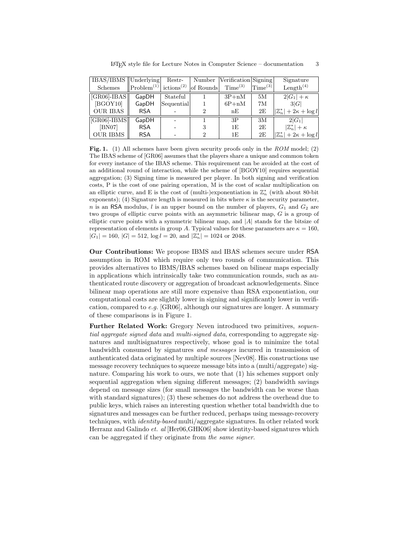| IBAS/IBMS Underlying |                                       | $\operatorname{Restr}$              |           | Number  Verification Signing |                     | Signature                              |
|----------------------|---------------------------------------|-------------------------------------|-----------|------------------------------|---------------------|----------------------------------------|
| Schemes              | $\left  \text{Problem}^{(1)} \right $ | ictions <sup><math>(2)</math></sup> | of Rounds | Time <sup>(3)</sup>          | $\text{Time}^{(3)}$ | Length <sup><math>(4)</math></sup>     |
| $[GR06]$ -IBAS       | GapDH                                 | Stateful                            |           | $3P + nM$                    | 5M                  | $2 G_1 +\kappa$                        |
| [BGOY10]             | GapDH                                 | Sequential                          |           | $6P + nM$                    | 7M                  | 3 G                                    |
| OUR IBAS             | <b>RSA</b>                            |                                     | 2         | nE                           | 2Е                  | $ \mathbb{Z}_n^*  + 2\kappa + \log l $ |
| $[GR06]$ -IBMS       | GapDH                                 |                                     |           | 3P                           | 3M                  | $2 G_1 $                               |
| [BN07]               | <b>RSA</b>                            |                                     |           | 1E                           | 2E                  | $ \mathbb{Z}_n^* +\kappa$              |
| OUR IBMS             | <b>RSA</b>                            |                                     | 2         | 1E                           | 2E                  | $ \mathbb{Z}_n^*  + 2\kappa + \log l $ |

LATEX style file for Lecture Notes in Computer Science – documentation 3

Fig. 1. (1) All schemes have been given security proofs only in the  $ROM$  model; (2) The IBAS scheme of [GR06] assumes that the players share a unique and common token for every instance of the IBAS scheme. This requirement can be avoided at the cost of an additional round of interaction, while the scheme of [BGOY10] requires sequential aggregation; (3) Signing time is measured per player. In both signing and verification costs, P is the cost of one pairing operation, M is the cost of scalar multiplication on an elliptic curve, and E is the cost of (multi-)exponentiation in  $\mathbb{Z}_n^*$  (with about 80-bit exponents); (4) Signature length is measured in bits where  $\kappa$  is the security parameter, n is an RSA modulus,  $l$  is an upper bound on the number of players,  $G_1$  and  $G_2$  are two groups of elliptic curve points with an asymmetric bilinear map, G is a group of elliptic curve points with a symmetric bilinear map, and  $|A|$  stands for the bitsize of representation of elements in group A. Typical values for these parameters are  $\kappa = 160$ ,  $|G_1| = 160$ ,  $|G| = 512$ ,  $\log l = 20$ , and  $|\mathbb{Z}_n^*| = 1024$  or 2048.

Our Contributions: We propose IBMS and IBAS schemes secure under RSA assumption in ROM which require only two rounds of communication. This provides alternatives to IBMS/IBAS schemes based on bilinear maps especially in applications which intrinsically take two communication rounds, such as authenticated route discovery or aggregation of broadcast acknowledgements. Since bilinear map operations are still more expensive than RSA exponentiation, our computational costs are slightly lower in signing and significantly lower in verification, compared to  $e.g.$  [GR06], although our signatures are longer. A summary of these comparisons is in Figure 1.

Further Related Work: Gregory Neven introduced two primitives, sequential aggregate signed data and multi-signed data, corresponding to aggregate signatures and multisignatures respectively, whose goal is to minimize the total bandwidth consumed by signatures and messages incurred in transmission of authenticated data originated by multiple sources [Nev08]. His constructions use message recovery techniques to squeeze message bits into a (multi/aggregate) signature. Comparing his work to ours, we note that (1) his schemes support only sequential aggregation when signing different messages; (2) bandwidth savings depend on message sizes (for small messages the bandwidth can be worse than with standard signatures); (3) these schemes do not address the overhead due to public keys, which raises an interesting question whether total bandwidth due to signatures and messages can be further reduced, perhaps using message-recovery techniques, with identity-based multi/aggregate signatures. In other related work Herranz and Galindo et. al [Her06,GHK06] show identity-based signatures which can be aggregated if they originate from the same signer.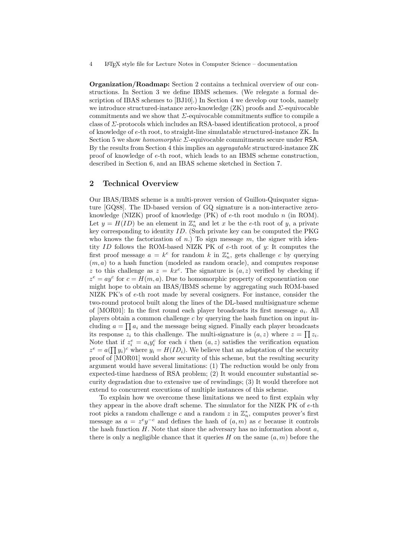Organization/Roadmap: Section 2 contains a technical overview of our constructions. In Section 3 we define IBMS schemes. (We relegate a formal description of IBAS schemes to [BJ10].) In Section 4 we develop our tools, namely we introduce structured-instance zero-knowledge  $(ZK)$  proofs and  $\Sigma$ -equivocable commitments and we show that  $\Sigma$ -equivocable commitments suffice to compile a class of  $\Sigma$ -protocols which includes an RSA-based identification protocol, a proof of knowledge of e-th root, to straight-line simulatable structured-instance ZK. In Section 5 we show *homomorphic*  $\Sigma$ -equivocable commitments secure under RSA. By the results from Section 4 this implies an aggragatable structured-instance ZK proof of knowledge of e-th root, which leads to an IBMS scheme construction, described in Section 6, and an IBAS scheme sketched in Section 7.

### 2 Technical Overview

Our IBAS/IBMS scheme is a multi-prover version of Guillou-Quisquater signature [GQ88]. The ID-based version of GQ signature is a non-interactive zeroknowledge (NIZK) proof of knowledge (PK) of e-th root modulo  $n$  (in ROM). Let  $y = H(ID)$  be an element in  $\mathbb{Z}_n^*$  and let x be the e-th root of y, a private key corresponding to identity ID. (Such private key can be computed the PKG who knows the factorization of n.) To sign message  $m$ , the signer with identity ID follows the ROM-based NIZK PK of e-th root of  $y$ : It computes the first proof message  $a = k^e$  for random k in  $\mathbb{Z}_n^*$ , gets challenge c by querying  $(m, a)$  to a hash function (modeled as random oracle), and computes response z to this challenge as  $z = kx^c$ . The signature is  $(a, z)$  verified by checking if  $z^e = ay^c$  for  $c = H(m, a)$ . Due to homomorphic property of exponentiation one might hope to obtain an IBAS/IBMS scheme by aggregating such ROM-based NIZK PK's of e-th root made by several cosigners. For instance, consider the two-round protocol built along the lines of the DL-based multisignature scheme of [MOR01]: In the first round each player broadcasts its first message  $a_i$ . All players obtain a common challenge  $c$  by querying the hash function on input including  $a = \prod a_i$  and the message being signed. Finally each player broadcasts its response  $z_i$  to this challenge. The multi-signature is  $(a, z)$  where  $z = \prod z_i$ . Note that if  $z_i^e = a_i y_i^c$  for each i then  $(a, z)$  satisfies the verification equation  $z^e = a(\prod y_i)^c$  where  $y_i = H(ID_i)$ . We believe that an adaptation of the security proof of [MOR01] would show security of this scheme, but the resulting security argument would have several limitations: (1) The reduction would be only from expected-time hardness of RSA problem; (2) It would encounter substantial security degradation due to extensive use of rewindings; (3) It would therefore not extend to concurrent executions of multiple instances of this scheme.

To explain how we overcome these limitations we need to first explain why they appear in the above draft scheme. The simulator for the NIZK PK of e-th root picks a random challenge c and a random  $z$  in  $\mathbb{Z}_n^*$ , computes prover's first message as  $a = z^e y^{-c}$  and defines the hash of  $(a, m)$  as c because it controls the hash function  $H$ . Note that since the adversary has no information about  $a$ , there is only a negligible chance that it queries H on the same  $(a, m)$  before the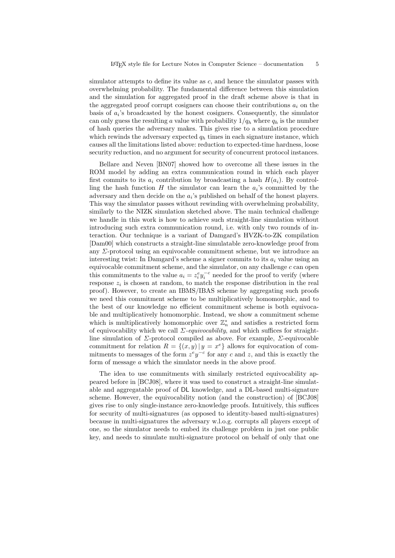simulator attempts to define its value as c, and hence the simulator passes with overwhelming probability. The fundamental difference between this simulation and the simulation for aggregated proof in the draft scheme above is that in the aggregated proof corrupt cosigners can choose their contributions  $a_i$  on the basis of  $a_i$ 's broadcasted by the honest cosigners. Consequently, the simulator can only guess the resulting a value with probability  $1/q_h$  where  $q_h$  is the number of hash queries the adversary makes. This gives rise to a simulation procedure which rewinds the adversary expected  $q<sub>h</sub>$  times in each signature instance, which causes all the limitations listed above: reduction to expected-time hardness, loose security reduction, and no argument for security of concurrent protocol instances.

Bellare and Neven [BN07] showed how to overcome all these issues in the ROM model by adding an extra communication round in which each player first commits to its  $a_i$  contribution by broadcasting a hash  $H(a_i)$ . By controlling the hash function  $H$  the simulator can learn the  $a_i$ 's committed by the adversary and then decide on the  $a_i$ 's published on behalf of the honest players. This way the simulator passes without rewinding with overwhelming probability, similarly to the NIZK simulation sketched above. The main technical challenge we handle in this work is how to achieve such straight-line simulation without introducing such extra communication round, i.e. with only two rounds of interaction. Our technique is a variant of Damgard's HVZK-to-ZK compilation [Dam00] which constructs a straight-line simulatable zero-knowledge proof from any  $\Sigma$ -protocol using an equivocable commitment scheme, but we introduce an interesting twist: In Damgard's scheme a signer commits to its  $a_i$  value using an equivocable commitment scheme, and the simulator, on any challenge  $c$  can open this commitments to the value  $a_i = z_i^e y_i^{-c}$  needed for the proof to verify (where response  $z_i$  is chosen at random, to match the response distribution in the real proof). However, to create an IBMS/IBAS scheme by aggregating such proofs we need this commitment scheme to be multiplicatively homomorphic, and to the best of our knowledge no efficient commitment scheme is both equivocable and multiplicatively homomorphic. Instead, we show a commitment scheme which is multiplicatively homomorphic over  $\mathbb{Z}_n^*$  and satisfies a restricted form of equivocability which we call  $\Sigma$ -equivocability, and which suffices for straightline simulation of  $\Sigma$ -protocol compiled as above. For example,  $\Sigma$ -equivocable commitment for relation  $R = \{(x, y) | y = x^e \}$  allows for equivocation of commitments to messages of the form  $z^e y^{-c}$  for any c and z, and this is exactly the form of message a which the simulator needs in the above proof.

The idea to use commitments with similarly restricted equivocability appeared before in [BCJ08], where it was used to construct a straight-line simulatable and aggregatable proof of DL knowledge, and a DL-based multi-signature scheme. However, the equivocability notion (and the construction) of [BCJ08] gives rise to only single-instance zero-knowledge proofs. Intuitively, this suffices for security of multi-signatures (as opposed to identity-based multi-signatures) because in multi-signatures the adversary w.l.o.g. corrupts all players except of one, so the simulator needs to embed its challenge problem in just one public key, and needs to simulate multi-signature protocol on behalf of only that one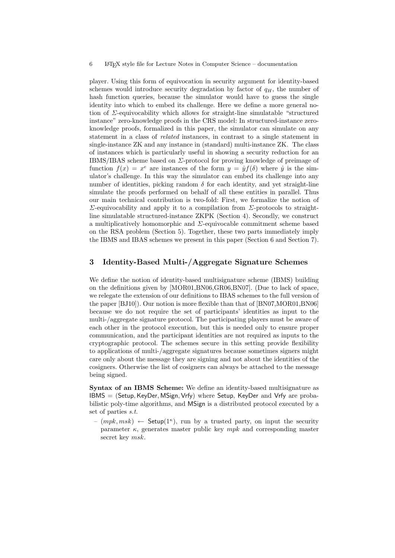player. Using this form of equivocation in security argument for identity-based schemes would introduce security degradation by factor of  $q_H$ , the number of hash function queries, because the simulator would have to guess the single identity into which to embed its challenge. Here we define a more general notion of  $\Sigma$ -equivocability which allows for straight-line simulatable "structured" instance" zero-knowledge proofs in the CRS model: In structured-instance zeroknowledge proofs, formalized in this paper, the simulator can simulate on any statement in a class of related instances, in contrast to a single statement in single-instance ZK and any instance in (standard) multi-instance ZK. The class of instances which is particularly useful in showing a security reduction for an IBMS/IBAS scheme based on Σ-protocol for proving knowledge of preimage of function  $f(x) = x^e$  are instances of the form  $y = \hat{y} f(\delta)$  where  $\hat{y}$  is the simulator's challenge. In this way the simulator can embed its challenge into any number of identities, picking random  $\delta$  for each identity, and yet straight-line simulate the proofs performed on behalf of all these entities in parallel. Thus our main technical contribution is two-fold: First, we formalize the notion of Σ-equivocability and apply it to a compilation from Σ-protocols to straightline simulatable structured-instance ZKPK (Section 4). Secondly, we construct a multiplicatively homomorphic and  $\Sigma$ -equivocable commitment scheme based on the RSA problem (Section 5). Together, these two parts immediately imply the IBMS and IBAS schemes we present in this paper (Section 6 and Section 7).

### 3 Identity-Based Multi-/Aggregate Signature Schemes

We define the notion of identity-based multisignature scheme (IBMS) building on the definitions given by [MOR01,BN06,GR06,BN07]. (Due to lack of space, we relegate the extension of our definitions to IBAS schemes to the full version of the paper [BJ10]). Our notion is more flexible than that of [BN07,MOR01,BN06] because we do not require the set of participants' identities as input to the multi-/aggregate signature protocol. The participating players must be aware of each other in the protocol execution, but this is needed only to ensure proper communication, and the participant identities are not required as inputs to the cryptographic protocol. The schemes secure in this setting provide flexibility to applications of multi-/aggregate signatures because sometimes signers might care only about the message they are signing and not about the identities of the cosigners. Otherwise the list of cosigners can always be attached to the message being signed.

Syntax of an IBMS Scheme: We define an identity-based multisignature as  $IBMS = (Setup, KevDer, MSign, Vrfy)$  where Setup, KeyDer and Vrfy are probabilistic poly-time algorithms, and MSign is a distributed protocol executed by a set of parties s.t.

 $(- (mpk, msk) \leftarrow$  Setup(1<sup>k</sup>), run by a trusted party, on input the security parameter  $\kappa$ , generates master public key  $mpk$  and corresponding master secret key msk.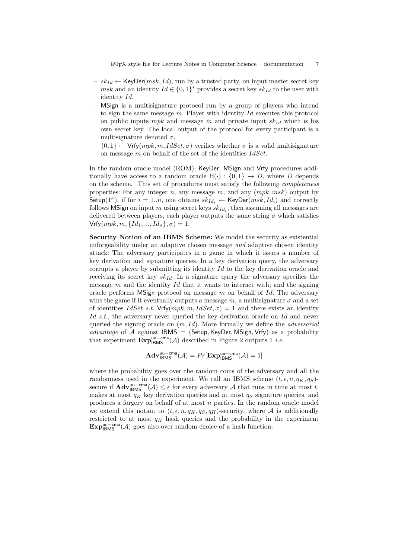- $-$  sk<sub>Id</sub>  $\leftarrow$  KeyDer(*msk, Id*), run by a trusted party, on input master secret key msk and an identity  $Id \in \{0,1\}^*$  provides a secret key  $sk_{Id}$  to the user with identity Id.
- MSign is a multisignature protocol run by a group of players who intend to sign the same message  $m$ . Player with identity  $Id$  executes this protocol on public inputs  $mpk$  and message m and private input  $sk_{Id}$  which is his own secret key. The local output of the protocol for every participant is a multisignature denoted  $\sigma$ .
- $\{0,1\} \leftarrow \mathsf{Vrfy}(mpk, m, IdSet, \sigma)$  verifies whether  $\sigma$  is a valid multisignature on message m on behalf of the set of the identities IdSet.

In the random oracle model (ROM), KeyDer, MSign and Vrfy procedures additionally have access to a random oracle  $H(\cdot) : \{0,1\} \to D$ , where D depends on the scheme. This set of procedures must satisfy the following completeness properties: For any integer n, any message m, and any  $(mpk, msk)$  output by Setup(1<sup> $\kappa$ </sup>), if for  $i = 1..n$ , one obtains  $sk_{Id_i} \leftarrow \text{KeyDer}(msk, Id_i)$  and correctly follows MSign on input  $m$  using secret keys  $sk_{Id_i}$ , then assuming all messages are delivered between players, each player outputs the same string  $\sigma$  which satisfies  $Vrfy(mpk, m, {Id_1, ..., Id_n}, \sigma) = 1.$ 

Security Notion of an IBMS Scheme: We model the security as existential unforgeability under an adaptive chosen message and adaptive chosen identity attack: The adversary participates in a game in which it issues a number of key derivation and signature queries. In a key derivation query, the adversary corrupts a player by submitting its identity  $Id$  to the key derivation oracle and receiving its secret key  $sk_{Id}$ . In a signature query the adversary specifies the message  $m$  and the identity Id that it wants to interact with; and the signing oracle performs  $MSign$  protocol on message  $m$  on behalf of  $Id$ . The adversary wins the game if it eventually outputs a message m, a multisignature  $\sigma$  and a set of identities IdSet s.t.  $Vrfy(mpk, m, IdSet, \sigma) = 1$  and there exists an identity Id s.t., the adversary never queried the key derivation oracle on Id and never queried the signing oracle on  $(m, Id)$ . More formally we define the *adversarial* advantage of A against IBMS = (Setup, KeyDer, MSign, Vrfy) as a probability that experiment  $\text{Exp}_{\text{IBMS}}^{\text{uu-cma}}(\mathcal{A})$  described in Figure 2 outputs 1 *i.e.* 

$$
\mathbf{Adv}_{\mathsf{IBMS}}^{\mathsf{uu-cma}}(\mathcal{A}) = Pr[\mathbf{Exp}_{\mathsf{IBMS}}^{\mathsf{uu-cma}}(\mathcal{A}) = 1]
$$

where the probability goes over the random coins of the adversary and all the randomness used in the experiment. We call an IBMS scheme  $(t, \epsilon, n, q_K, q_S)$ secure if  $\mathbf{Adv}_{\mathsf{IBMS}}^{\mathsf{uu}-\mathsf{cma}}(\mathcal{A}) \leq \epsilon$  for every adversary  $\mathcal A$  that runs in time at most  $t$ , makes at most  $q_K$  key derivation queries and at most  $q_S$  signature queries, and produces a forgery on behalf of at most  $n$  parties. In the random oracle model we extend this notion to  $(t, \epsilon, n, q_K, q_S, q_H)$ -security, where A is additionally restricted to at most  $q_H$  hash queries and the probability in the experiment  $\mathrm{Exp}_{\mathsf{IBMS}}^{\mathsf{uu-cma}}(\mathcal{A})$  goes also over random choice of a hash function.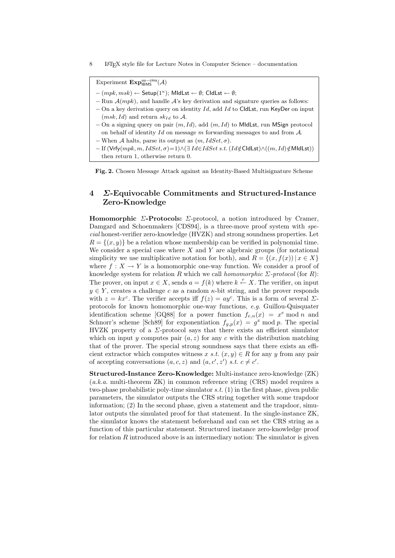Experiment  $\mathbf{Exp}_{\mathsf{IBMS}}^{\mathsf{uu-cma}}(\mathcal{A})$ 

- $-(mpk,msk) \leftarrow$  Setup $(1^{\kappa});$  MIdLst  $\leftarrow \emptyset;$  CIdLst  $\leftarrow \emptyset;$
- $-$  Run  $\mathcal{A}(mpk)$ , and handle  $\mathcal{A}'s$  key derivation and signature queries as follows:
- $-$  On a key derivation query on identity Id, add Id to CldLst, run KeyDer on input  $(msk, Id)$  and return  $sk_{Id}$  to A.
- $-$  On a signing query on pair  $(m, Id)$ , add  $(m, Id)$  to MIdLst, run MSign protocol on behalf of identity  $Id$  on message m forwarding messages to and from  $A$ .
- $-$  When A halts, parse its output as  $(m, IdSet, \sigma)$ .
- $-I$  If  $(\text{Vrfy}(mpk, m, IdSet, \sigma)=1) \wedge (\exists Id \in IdSet \ s.t. (Id \notin \text{CIdList}) \wedge ((m, Id) \notin \text{MIdList}))$ then return 1, otherwise return 0.

Fig. 2. Chosen Message Attack against an Identity-Based Multisignature Scheme

# 4 Σ-Equivocable Commitments and Structured-Instance Zero-Knowledge

**Homomorphic**  $\Sigma$ **-Protocols:**  $\Sigma$ -protocol, a notion introduced by Cramer, Damgard and Schoenmakers [CDS94], is a three-move proof system with special honest-verifier zero-knowledge (HVZK) and strong soundness properties. Let  $R = \{(x, y)\}\$ be a relation whose membership can be verified in polynomial time. We consider a special case where  $X$  and  $Y$  are algebraic groups (for notational simplicity we use multiplicative notation for both), and  $R = \{(x, f(x)) | x \in X\}$ where  $f: X \to Y$  is a homomorphic one-way function. We consider a proof of knowledge system for relation R which we call *homomorphic*  $\Sigma$ -protocol (for R): The prover, on input  $x \in X$ , sends  $a = f(k)$  where  $k \stackrel{r}{\leftarrow} X$ . The verifier, on input  $y \in Y$ , creates a challenge c as a random  $\kappa$ -bit string, and the prover responds with  $z = kx^c$ . The verifier accepts iff  $f(z) = ay^c$ . This is a form of several  $\Sigma$ protocols for known homomorphic one-way functions, e.g. Guillou-Quisquater identification scheme [GQ88] for a power function  $f_{e,n}(x) = x^e \mod n$  and Schnorr's scheme [Sch89] for exponentiation  $f_{g,p}(x) = g^x \mod p$ . The special HVZK property of a  $\Sigma$ -protocol says that there exists an efficient simulator which on input y computes pair  $(a, z)$  for any c with the distribution matching that of the prover. The special strong soundness says that there exists an efficient extractor which computes witness x s.t.  $(x, y) \in R$  for any y from any pair of accepting conversations  $(a, c, z)$  and  $(a, c', z')$  s.t.  $c \neq c'$ .

Structured-Instance Zero-Knowledge: Multi-instance zero-knowledge (ZK)  $(a.k.a. \text{ multi-theorem } \mathbb{Z}$  in common reference string  $(CRS)$  model requires a two-phase probabilistic poly-time simulator  $s.t.$  (1) in the first phase, given public parameters, the simulator outputs the CRS string together with some trapdoor information; (2) In the second phase, given a statement and the trapdoor, simulator outputs the simulated proof for that statement. In the single-instance ZK, the simulator knows the statement beforehand and can set the CRS string as a function of this particular statement. Structured instance zero-knowledge proof for relation  $R$  introduced above is an intermediary notion: The simulator is given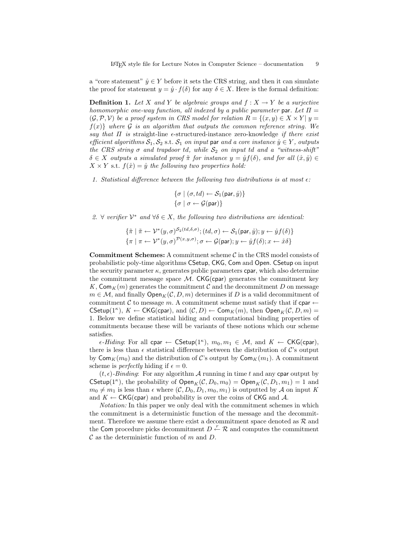a "core statement"  $\hat{y} \in Y$  before it sets the CRS string, and then it can simulate the proof for statement  $y = \hat{y} \cdot f(\delta)$  for any  $\delta \in X$ . Here is the formal definition:

**Definition 1.** Let X and Y be algebraic groups and  $f: X \to Y$  be a surjective homomorphic one-way function, all indexed by a public parameter par. Let  $\Pi =$  $(\mathcal{G}, \mathcal{P}, \mathcal{V})$  be a proof system in CRS model for relation  $R = \{(x, y) \in X \times Y | y =$  $f(x)$  where G is an algorithm that outputs the common reference string. We say that  $\Pi$  is straight-line  $\epsilon$ -structured-instance zero-knowledge if there exist efficient algorithms  $S_1, S_2$  s.t.  $S_1$  on input par and a core instance  $\hat{y} \in Y$ , outputs the CRS string  $\sigma$  and trapdoor td, while  $S_2$  on input td and a "witness-shift"  $\delta \in X$  outputs a simulated proof  $\tilde{\pi}$  for instance  $y = \hat{y} f(\delta)$ , and for all  $(\hat{x}, \hat{y}) \in$  $X \times Y$  s.t.  $f(\mathring{x}) = \mathring{y}$  the following two properties hold:

1. Statistical difference between the following two distributions is at most  $\epsilon$ :

$$
\{\sigma \mid (\sigma, td) \leftarrow \mathcal{S}_1(\text{par}, \mathring{y})\}
$$

$$
\{\sigma \mid \sigma \leftarrow \mathcal{G}(\text{par})\}
$$

2.  $\forall$  verifier  $\mathcal{V}^*$  and  $\forall \delta \in X$ , the following two distributions are identical:

$$
\{\tilde{\pi} \mid \tilde{\pi} \leftarrow \mathcal{V}^*(y, \sigma)^{\mathcal{S}_2(td, \delta, \sigma)}; (td, \sigma) \leftarrow \mathcal{S}_1(\text{par}, \mathring{y}); y \leftarrow \mathring{y}f(\delta)\}
$$

$$
\{\pi \mid \pi \leftarrow \mathcal{V}^*(y, \sigma)^{\mathcal{P}(x, y, \sigma)}; \sigma \leftarrow \mathcal{G}(\text{par}); y \leftarrow \mathring{y}f(\delta); x \leftarrow \mathring{x}\delta\}
$$

**Commitment Schemes:** A commitment scheme  $C$  in the CRS model consists of probabilistic poly-time algorithms CSetup, CKG, Com and Open. CSetup on input the security parameter  $\kappa$ , generates public parameters cpar, which also determine the commitment message space  $M$ . CKG(cpar) generates the commitment key K,  $\mathsf{Com}_K(m)$  generates the commitment C and the decommitment D on message  $m \in \mathcal{M}$ , and finally Open<sub>K</sub> (C, D, m) determines if D is a valid decommitment of commitment C to message m. A commitment scheme must satisfy that if  $cpar \leftarrow$  $\mathsf{CSetup}(1^\kappa),\ K\leftarrow \mathsf{CKG}(\mathsf{cpar}),\text{ and }(\mathcal{C},D)\leftarrow \mathsf{Com}_K(m),\ \text{then }\mathsf{Open}_K(\mathcal{C},D,m)=$ 1. Below we define statistical hiding and computational binding properties of commitments because these will be variants of these notions which our scheme satisfies.

 $\epsilon$ -Hiding: For all cpar  $\leftarrow$  CSetup $(1^{\kappa})$ ,  $m_0, m_1 \in \mathcal{M}$ , and  $K \leftarrow$  CKG(cpar), there is less than  $\epsilon$  statistical difference between the distribution of C's output by  $\mathsf{Com}_K(m_0)$  and the distribution of C's output by  $\mathsf{Com}_K(m_1)$ . A commitment scheme is *perfectly* hiding if  $\epsilon = 0$ .

 $(t, \epsilon)$ -Binding: For any algorithm A running in time t and any cpar output by CSetup(1<sup> $\kappa$ </sup>), the probability of Open<sub>K</sub>(C, D<sub>0</sub>, m<sub>0</sub>) = Open<sub>K</sub>(C, D<sub>1</sub>, m<sub>1</sub>) = 1 and  $m_0 \neq m_1$  is less than  $\epsilon$  where  $(C, D_0, D_1, m_0, m_1)$  is outputted by A on input K and  $K \leftarrow CKG(cpar)$  and probability is over the coins of CKG and A.

Notation: In this paper we only deal with the commitment schemes in which the commitment is a deterministic function of the message and the decommitment. Therefore we assume there exist a decommitment space denoted as  $R$  and the Com procedure picks decommitment  $D \stackrel{r}{\leftarrow} \mathcal{R}$  and computes the commitment  $\mathcal C$  as the deterministic function of m and D.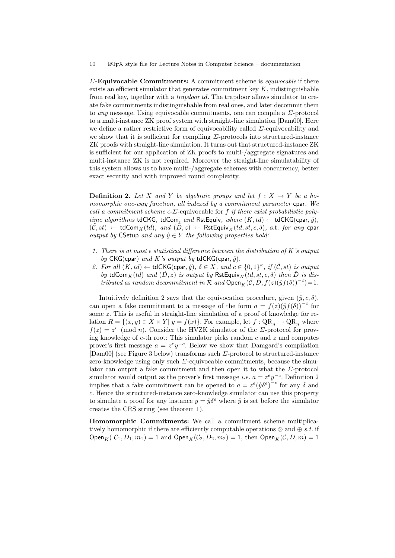$\Sigma$ -Equivocable Commitments: A commitment scheme is *equivocable* if there exists an efficient simulator that generates commitment key  $K$ , indistinguishable from real key, together with a *trapdoor td*. The trapdoor allows simulator to create fake commitments indistinguishable from real ones, and later decommit them to *any* message. Using equivocable commitments, one can compile a  $\Sigma$ -protocol to a multi-instance ZK proof system with straight-line simulation [Dam00]. Here we define a rather restrictive form of equivocability called  $\Sigma$ -equivocability and we show that it is sufficient for compiling  $\Sigma$ -protocols into structured-instance ZK proofs with straight-line simulation. It turns out that structured-instance ZK is sufficient for our application of ZK proofs to multi-/aggregate signatures and multi-instance ZK is not required. Moreover the straight-line simulatability of this system allows us to have multi-/aggregate schemes with concurrency, better exact security and with improved round complexity.

**Definition 2.** Let X and Y be algebraic groups and let  $f: X \rightarrow Y$  be a homomorphic one-way function, all indexed by a commitment parameter cpar. We call a commitment scheme  $\epsilon$ - $\Sigma$ -equivocable for f if there exist probabilistic polytime algorithms tdCKG, tdCom, and RstEquiv, where  $(K, td) \leftarrow \text{tdCKG}(\text{cpar}, \hat{y}),$  $(\tilde{C}, st) \leftarrow \mathsf{tdCom}_K (td), \text{ and } (\tilde{D}, z) \leftarrow \mathsf{RstEquiv}_K (td, st, c, \delta), \text{ s.t. for any copar }$ output by CSetup and any  $\mathring{y} \in Y$  the following properties hold:

- 1. There is at most  $\epsilon$  statistical difference between the distribution of K's output by CKG(cpar) and K's output by tdCKG(cpar,  $\hat{y}$ ).
- 2. For all  $(K, td) \leftarrow \mathsf{tdCKG}(\mathsf{cpar}, \mathring{y}), \delta \in X$ , and  $c \in \{0,1\}^\kappa$ , if  $(\tilde{C}, st)$  is output by tdCom<sub>K</sub> (td) and  $(\tilde{D}, z)$  is output by RstEquiv<sub>K</sub> (td, st, c,  $\delta$ ) then  $\tilde{D}$  is distributed as random decommitment in  $\mathcal R$  and  $\mathsf{Open}_K(\tilde{\mathcal{C}}, \tilde{\mathcal{D}}, f(z)(\hat{y}f(\delta))^{-c}) = 1$ .

Intuitively definition 2 says that the equivocation procedure, given  $(\hat{y}, c, \delta)$ , can open a fake commitment to a message of the form  $a = f(z)(\hat{y}f(\delta))^{-c}$  for some z. This is useful in straight-line simulation of a proof of knowledge for relation  $R = \{(x, y) \in X \times Y | y = f(x)\}\.$  For example, let  $f : QR_n \to QR_n$  where  $f(z) = z^e \pmod{n}$ . Consider the HVZK simulator of the *Σ*-protocol for proving knowledge of  $e$ -th root: This simulator picks random  $c$  and  $z$  and computes prover's first message  $a = z^e y^{-c}$ . Below we show that Damgard's compilation  $[Dam00]$  (see Figure 3 below) transforms such  $\Sigma$ -protocol to structured-instance zero-knowledge using only such  $\Sigma$ -equivocable commitments, because the simulator can output a fake commitment and then open it to what the  $\Sigma$ -protocol simulator would output as the prover's first message *i.e.*  $a = z^e y^{-c}$ . Definition 2 implies that a fake commitment can be opened to  $a = z^e(\mathring{y}\delta^e)^{-c}$  for any  $\delta$  and c. Hence the structured-instance zero-knowledge simulator can use this property to simulate a proof for any instance  $y = \hat{y} \delta^e$  where  $\hat{y}$  is set before the simulator creates the CRS string (see theorem 1).

Homomorphic Commitments: We call a commitment scheme multiplicatively homomorphic if there are efficiently computable operations  $\otimes$  and  $\oplus s.t.$  if Open<sub>K</sub> (  $C_1, D_1, m_1$  = 1 and Open<sub>K</sub> ( $C_2, D_2, m_2$  = 1, then Open<sub>K</sub> ( $C, D, m$ ) = 1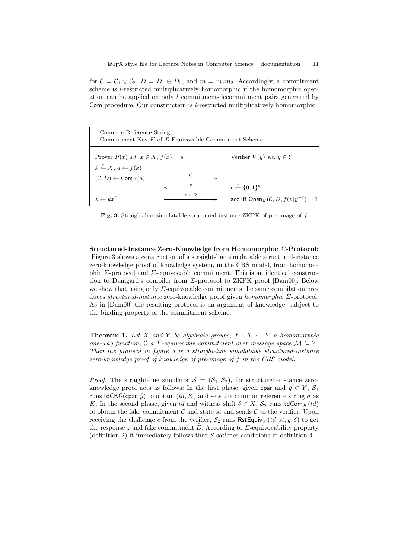for  $C = C_1 \otimes C_2$ ,  $D = D_1 \oplus D_2$ , and  $m = m_1 m_2$ . Accordingly, a commitment scheme is l-restricted multiplicatively homomorphic if the homomorphic operation can be applied on only  $l$  commitment-decommitment pairs generated by Com procedure. Our construction is l-restricted multiplicatively homomorphic.

| Common Reference String:<br>Commitment Key K of $\Sigma$ -Equivocable Commitment Scheme |                |                                                    |  |  |  |
|-----------------------------------------------------------------------------------------|----------------|----------------------------------------------------|--|--|--|
| Prover $P(x)$ s.t. $x \in X$ , $f(x) = y$                                               |                | Verifier $V(y)$ s.t. $y \in Y$                     |  |  |  |
| $k \stackrel{r}{\leftarrow} X, a \leftarrow f(k)$                                       |                |                                                    |  |  |  |
| $(C, D) \leftarrow \text{Com}_K(a)$                                                     | $\mathfrak{c}$ | $c \leftarrow \{0,1\}^{\kappa}$                    |  |  |  |
| $z \leftarrow k r^c$                                                                    | $z$ , $D$      | acc iff Open <sub>K</sub> $(C, D, f(z)y^{-c}) = 1$ |  |  |  |

Fig. 3. Straight-line simulatable structured-instance ZKPK of pre-image of f

Structured-Instance Zero-Knowledge from Homomorphic Σ-Protocol: Figure 3 shows a construction of a straight-line simulatable structured-instance zero-knowledge proof of knowledge system, in the CRS model, from homomorphic  $\Sigma$ -protocol and  $\Sigma$ -equivocable commitment. This is an identical construction to Damgard's compiler from  $\Sigma$ -protocol to ZKPK proof [Dam00]. Below we show that using only  $\Sigma$ -equivocable commitments the same compilation produces structured-instance zero-knowledge proof given homomorphic Σ-protocol. As in [Dam00] the resulting protocol is an argument of knowledge, subject to the binding property of the commitment scheme.

**Theorem 1.** Let X and Y be algebraic groups,  $f : X \leftarrow Y$  a homomorphic one-way function, C a  $\Sigma$ -equivocable commitment over message space  $\mathcal{M} \subseteq Y$ . Then the protocol in figure 3 is a straight-line simulatable structured-instance zero-knowledge proof of knowledge of pre-image of f in the CRS model.

*Proof.* The straight-line simulator  $S = (S_1, S_2)$ , for structured-instance zeroknowledge proof acts as follows: In the first phase, given cpar and  $\hat{y} \in Y$ ,  $\mathcal{S}_1$ runs tdCKG(cpar,  $\hat{y}$ ) to obtain (td, K) and sets the common reference string  $\sigma$  as K. In the second phase, given td and witness shift  $\delta \in X$ ,  $\mathcal{S}_2$  runs tdCom<sub>K</sub>(td) to obtain the fake commitment  $\tilde{\mathcal{C}}$  and state st and sends  $\tilde{\mathcal{C}}$  to the verifier. Upon receiving the challenge c from the verifier,  $S_2$  runs RstEquiv<sub>K</sub> (td, st,  $\hat{y}$ ,  $\delta$ ) to get the response z and fake commitment  $\ddot{D}$ . According to  $\Sigma$ -equivocability property (definition 2) it immediately follows that  $S$  satisfies conditions in definition 4.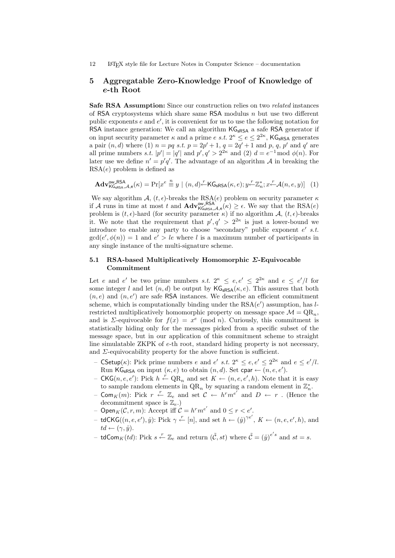## 5 Aggregatable Zero-Knowledge Proof of Knowledge of e-th Root

Safe RSA Assumption: Since our construction relies on two related instances of RSA cryptosystems which share same RSA modulus  $n$  but use two different public exponents  $e$  and  $e'$ , it is convenient for us to use the following notation for RSA instance generation: We call an algorithm  $KG_{sRSA}$  a safe RSA generator if on input security parameter  $\kappa$  and a prime  $e \; s.t. \; 2^{\kappa} \leq e \leq 2^{2\kappa}$ , KG<sub>sRSA</sub> generates a pair  $(n, d)$  where (1)  $n = pq \, s.t. \, p = 2p' + 1, \, q = 2q' + 1$  and p, q, p' and q' are all prime numbers s.t.  $|p'| = |q'|$  and  $p', q' > 2^{2\kappa}$  and (2)  $d = e^{-1} \text{mod } \phi(n)$ . For later use we define  $n' = p'q'$ . The advantage of an algorithm A in breaking the  $RSA(e)$  problem is defined as

$$
\mathbf{Adv}_{\mathsf{KG}_\mathsf{sRSA},\mathcal{A},\mathsf{e}}^{\mathsf{ow}\text{-}\mathsf{RSA}}(\kappa) = \Pr[x^e \stackrel{n}{\equiv} y \mid (n,d) \stackrel{r}{\leftarrow} \mathsf{KG}_\mathsf{sRSA}(\kappa,e); y \stackrel{r}{\leftarrow} \mathbb{Z}_n^*; x \stackrel{r}{\leftarrow} \mathcal{A}(n,e,y)] \tag{1}
$$

We say algorithm  $\mathcal{A}, (\mathit{t}, \epsilon)$ -breaks the RSA(e) problem on security parameter  $\kappa$ if A runs in time at most t and  $\mathbf{Adv}_{\mathsf{KG}_{\mathsf{sRSA}},\mathcal{A},\mathsf{e}}^{\mathsf{ow},\mathsf{RSA}}(\kappa) \geq \epsilon$ . We say that the  $\mathsf{RSA}(e)$ problem is  $(t, \epsilon)$ -hard (for security parameter  $\kappa$ ) if no algorithm A,  $(t, \epsilon)$ -breaks it. We note that the requirement that  $p', q' > 2^{2\kappa}$  is just a lower-bound we introduce to enable any party to choose "secondary" public exponent  $e'$  s.t.  $gcd(e', \phi(n)) = 1$  and  $e' > le$  where l is a maximum number of participants in any single instance of the multi-signature scheme.

#### 5.1 RSA-based Multiplicatively Homomorphic Σ-Equivocable Commitment

Let e and e' be two prime numbers s.t.  $2^{\kappa} \leq e, e' \leq 2^{2\kappa}$  and  $e \leq e'/l$  for some integer l and let  $(n, d)$  be output by  $\mathsf{KG}_{\mathsf{sRSA}}(\kappa, e)$ . This assures that both  $(n, e)$  and  $(n, e')$  are safe RSA instances. We describe an efficient commitment scheme, which is computationally binding under the  $\text{RSA}(e')$  assumption, has lrestricted multiplicatively homomorphic property on message space  $\mathcal{M} = \mathbb{Q}R_n$ , and is  $\Sigma$ -equivocable for  $f(x) = x^e \pmod{n}$ . Curiously, this commitment is statistically hiding only for the messages picked from a specific subset of the message space, but in our application of this commitment scheme to straight line simulatable ZKPK of e-th root, standard hiding property is not necessary, and  $\Sigma$ -equivocability property for the above function is sufficient.

- CSetup( $\kappa$ ): Pick prime numbers e and  $e'$  s.t.  $2^{\kappa} \le e, e' \le 2^{2\kappa}$  and  $e \le e'/l$ . Run KG<sub>sRSA</sub> on input  $(\kappa, e)$  to obtain  $(n, d)$ . Set cpar  $\leftarrow (n, e, e')$ .
- CKG $(n, e, e')$ : Pick  $h \stackrel{r}{\leftarrow} QR_n$  and set  $K \leftarrow (n, e, e', h)$ . Note that it is easy to sample random elements in  $QR_n$  by squaring a random element in  $\mathbb{Z}_n^*$ .
- Com<sub>K</sub>(*m*): Pick  $r \stackrel{r}{\leftarrow} \mathbb{Z}_e$  and set  $\mathcal{C} \leftarrow h^r m^{e^r}$  and  $D \leftarrow r$ . (Hence the decommitment space is  $\mathbb{Z}_{e}$ .)
- Open $_K(\mathcal{C}, r, m)$ : Accept iff  $\mathcal{C} = h^r m^{e'}$  and  $0 \le r < e'$ .
- tdCKG $((n, e, e'), \mathring{y})$ : Pick  $\gamma \stackrel{r}{\leftarrow} [n]$ , and set  $h \leftarrow (\mathring{y})^{\gamma e'}$ ,  $K \leftarrow (n, e, e', h)$ , and  $td \leftarrow (\gamma, \mathring{y}).$
- $\text{tdCom}_K(td)$ : Pick  $s \stackrel{r}{\leftarrow} \mathbb{Z}_e$  and return  $(\tilde{\mathcal{C}}, st)$  where  $\tilde{\mathcal{C}} = (\mathring{y})^{e's}$  and  $st = s$ .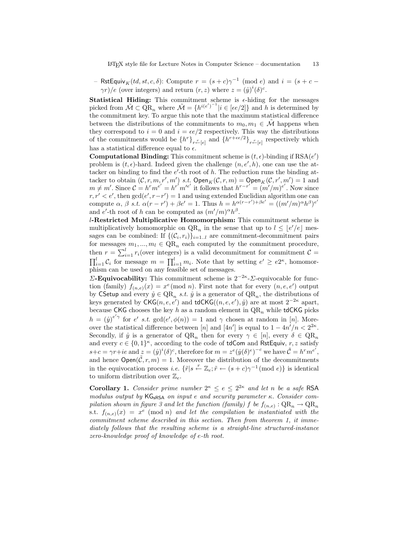- RstEquiv<sub>K</sub> $(td, st, c, \delta)$ : Compute  $r = (s + c)\gamma^{-1} \pmod{e}$  and  $i = (s + c - \delta)$  $\gamma r$ /e (over integers) and return  $(r, z)$  where  $z = (\hat{y})^i (\delta)^c$ .

**Statistical Hiding:** This commitment scheme is  $\epsilon$ -hiding for the messages picked from  $\tilde{M} \subset \mathbb{Q}R_n$  where  $\tilde{M} = \{h^{i(e')^{-1}} | i \in [\epsilon e/2]\}$  and h is determined by the commitment key. To argue this note that the maximum statistical difference between the distributions of the commitments to  $m_0, m_1 \in \tilde{\mathcal{M}}$  happens when they correspond to  $i = 0$  and  $i = \epsilon e/2$  respectively. This way the distributions of the commitments would be  $\{h^r\}_{r\leftarrow [e]}$  and  $\{h^{r+\epsilon e/2}\}_{r\leftarrow [e]}$  respectively which has a statistical difference equal to  $\epsilon$ .

**Computational Binding:** This commitment scheme is  $(t, \epsilon)$ -binding if  $RSA(e')$ problem is  $(t, \epsilon)$ -hard. Indeed given the challenge  $(n, e', h)$ , one can use the attacker on binding to find the  $e'$ -th root of  $h$ . The reduction runs the binding attacker to obtain  $(\mathcal{C}, r, m, r', m')$  s.t.  $\mathsf{Open}_K(\mathcal{C}, r, m) = \mathsf{Open}_K(\mathcal{C}, r', m') = 1$  and  $m \neq m'$ . Since  $\mathcal{C} = h^r m^{e'} = h^{r'} m'^{e'}$  it follows that  $h^{r-r'} = (m'/m)^{e'}$ . Now since  $r, r' < e'$ , then  $gcd(e', r - r') = 1$  and using extended Euclidian algorithm one can compute  $\alpha$ ,  $\beta$  s.t.  $\alpha(r - r') + \beta e' = 1$ . Thus  $h = h^{\alpha(r - r') + \beta e'} = ((m'/m)^{\alpha} h^{\beta})^{e'}$ and e'-th root of h can be computed as  $(m'/m)^{\alpha}h^{\beta}$ .

l-Restricted Multiplicative Homomorphism: This commitment scheme is multiplicatively homomorphic on  $\mathbb{Q}\mathbb{R}_n$  in the sense that up to  $l \leq \lfloor e'/e \rfloor$  messages can be combined: If  $\{(\mathcal{C}_i, r_i)\}_{i=1..l}$  are commitment-decommitment pairs for messages  $m_1, ..., m_l \in QR_n$  each computed by the commitment procedure, then  $r = \sum_{i=1}^{l} r_i$  (over integers) is a valid decommitment for commitment  $C =$  $\prod_{i=1}^{l} C_i$  for message  $m = \prod_{i=1}^{l} m_i$ . Note that by setting  $e' \geq e^{2\kappa}$ , homomorphism can be used on any feasible set of messages.

 $Σ$ -Equivocability: This commitment scheme is  $2^{-2κ}$ -Σ-equivocable for function (family)  $f_{(n,e)}(x) = x^e \pmod{n}$ . First note that for every  $(n, e, e')$  output by CSetup and every  $\mathring{y} \in \text{QR}_n$  s.t.  $\mathring{y}$  is a generator of  $\text{QR}_n$ , the distributions of keys generated by  $\mathsf{CKG}(n, e, e')$  and  $\mathsf{tdCKG}((n, e, e'), \mathring{y})$  are at most  $2^{-2\kappa}$  apart, because CKG chooses the key h as a random element in  $QR_n$  while tdCKG picks  $h = (\mathring{y})^{e' \gamma}$  for e' s.t. gcd $(e', \phi(n)) = 1$  and  $\gamma$  chosen at random in [n]. Moreover the statistical difference between [n] and [4n'] is equal to  $1 - 4n'/n < 2^{2\kappa}$ . Secondly, if  $\hat{y}$  is a generator of  $QR_n$  then for every  $\gamma \in [n]$ , every  $\delta \in QR_n$ and every  $c \in \{0,1\}^{\kappa}$ , according to the code of tdCom and RstEquiv, r, z satisfy  $s+c=\gamma r+ie$  and  $z=(\mathring{y})^i(\delta)^c$ , therefore for  $m=z^e(\mathring{y}(\delta)^e)^{-c}$  we have  $\tilde{\mathcal{C}}=h^r m^{e'}$ , and hence  $\mathsf{Open}(\tilde{\mathcal{C}}, r, m) = 1$ . Moreover the distribution of the decommitments in the equivocation process *i.e.*  $\{\tilde{r}|s \stackrel{r}{\leftarrow} \mathbb{Z}_e; \tilde{r} \leftarrow (s+c)\gamma^{-1} \pmod{e}\}\$ is identical to uniform distribution over  $\mathbb{Z}_e$ .

**Corollary 1.** Consider prime number  $2^{\kappa} \le e \le 2^{2\kappa}$  and let n be a safe RSA modulus output by  $\mathsf{KG}_{\mathsf{sRSA}}$  on input e and security parameter  $\kappa$ . Consider compilation shown in figure 3 and let the function (family)  $f$  be  $f_{(n,e)}: \mathrm{QR}_{n} \to \mathrm{QR}_{n}$ s.t.  $f_{(n,e)}(x) = x^e \pmod{n}$  and let the compilation be instantiated with the commitment scheme described in this section. Then from theorem 1, it immediately follows that the resulting scheme is a straight-line structured-instance zero-knowledge proof of knowledge of e-th root.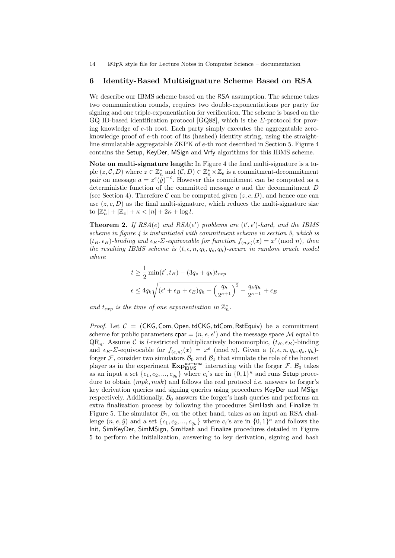### 6 Identity-Based Multisignature Scheme Based on RSA

We describe our IBMS scheme based on the RSA assumption. The scheme takes two communication rounds, requires two double-exponentiations per party for signing and one triple-exponentiation for verification. The scheme is based on the GQ ID-based identification protocol [GQ88], which is the Σ-protocol for proving knowledge of e-th root. Each party simply executes the aggregatable zeroknowledge proof of e-th root of its (hashed) identity string, using the straightline simulatable aggregatable ZKPK of e-th root described in Section 5. Figure 4 contains the Setup, KeyDer, MSign and Vrfy algorithms for this IBMS scheme.

Note on multi-signature length: In Figure 4 the final multi-signature is a tuple  $(z, \mathcal{C}, D)$  where  $z \in \mathbb{Z}_n^*$  and  $(\mathcal{C}, D) \in \mathbb{Z}_n^* \times \mathbb{Z}_e$  is a commitment-decommitment pair on message  $a = z^e(\hat{y})^{-c}$ . However this commitment can be computed as a deterministic function of the committed message  $a$  and the decommitment  $D$ (see Section 4). Therefore C can be computed given  $(z, c, D)$ , and hence one can use  $(z, c, D)$  as the final multi-signature, which reduces the multi-signature size to  $|\mathbb{Z}_{n}^{*}| + |\mathbb{Z}_{e}| + \kappa < |n| + 2\kappa + \log l$ .

**Theorem 2.** If  $RSA(e)$  and  $RSA(e')$  problems are  $(t', \epsilon')$ -hard, and the IBMS scheme in figure  $\downarrow$  is instantiated with commitment scheme in section 5, which is  $(t_B, \epsilon_B)$ -binding and  $\epsilon_E$ - $\Sigma$ -equivocable for function  $f_{(n,e)}(x) = x^e \pmod{n}$ , then the resulting IBMS scheme is  $(t, \epsilon, n, q_k, q_s, q_h)$ -secure in random oracle model where

$$
t \ge \frac{1}{2} \min(t', t_B) - (3q_s + q_h)t_{exp}
$$
  

$$
\epsilon \le 4q_h \sqrt{(\epsilon' + \epsilon_B + \epsilon_E)q_h + \left(\frac{q_h}{2^{\kappa+1}}\right)^2} + \frac{q_k q_h}{2^{\kappa-1}} + \epsilon_E
$$

and  $t_{exp}$  is the time of one exponentiation in  $\mathbb{Z}_n^*$ .

*Proof.* Let  $C = (CKG, Com, Open, tdCKG, tdCom, RstEquiv)$  be a commitment scheme for public parameters  $\textsf{cpar} = (n, e, e')$  and the message space M equal to  $QR_n$ . Assume C is l-restricted multiplicatively homomorphic,  $(t_B, \epsilon_B)$ -binding and  $\epsilon_E$ -*Σ*-equivocable for  $f_{(e,n)}(x) = x^e \pmod{n}$ . Given a  $(t, \epsilon, n, q_k, q_s, q_h)$ forger  $\mathcal{F}$ , consider two simulators  $\mathcal{B}_0$  and  $\mathcal{B}_1$  that simulate the role of the honest player as in the experiment  $\text{Exp}_{\text{IBMS}}^{\text{uu-cma}}$  interacting with the forger  $\mathcal{F}$ .  $\mathcal{B}_0$  takes as an input a set  $\{c_1, c_2, ..., c_{q_h}\}$  where  $c_i$ 's are in  $\{0, 1\}^{\kappa}$  and runs Setup procedure to obtain  $(mpk, msk)$  and follows the real protocol *i.e.* answers to forger's key derivation queries and signing queries using procedures KeyDer and MSign respectively. Additionally,  $\mathcal{B}_0$  answers the forger's hash queries and performs an extra finalization process by following the procedures SimHash and Finalize in Figure 5. The simulator  $\mathcal{B}_1$ , on the other hand, takes as an input an RSA challenge  $(n, e, \hat{y})$  and a set  $\{c_1, c_2, ..., c_{q_h}\}\$  where  $c_i$ 's are in  $\{0, 1\}^{\kappa}$  and follows the Init, SimKeyDer, SimMSign, SimHash and Finalize procedures detailed in Figure 5 to perform the initialization, answering to key derivation, signing and hash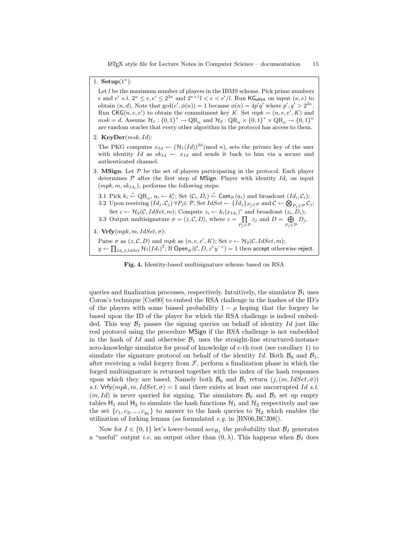### 1. Setup $(1^{\kappa})$ :

Let *l* be the maximum number of players in the IBMS scheme. Pick prime numbers e and e' s.t.  $2^{\kappa} \leq e, e' \leq 2^{2\kappa}$  and  $2^{\kappa+1}l < e < e'/l$ . Run KG<sub>sRSA</sub> on input  $(\kappa, e)$  to obtain  $(n, d)$ . Note that  $gcd(e', \phi(n)) = 1$  because  $\phi(n) = 4p'q'$  where  $p', q' > 2^{2\kappa}$ . Run CKG $(n, e, e')$  to obtain the commitment key K. Set  $mpk = (n, e, e', K)$  and  $msk = d.$  Assume  $\mathcal{H}_1: \{0,1\}^* \to \mathbb{Q}R_n$  and  $\mathcal{H}_2: \mathbb{Q}R_n \times \{0,1\}^* \times \mathbb{Q}R_n \to \{0,1\}^k$ are random oracles that every other algorithm in the protocol has access to them.

2.  $\text{KevDer}(msk, Id)$ :

The PKG computes  $x_{Id} \leftarrow (\mathcal{H}_1(Id))^{2d} \pmod{n}$ , sets the private key of the user with identity Id as  $sk_{Id} \leftarrow x_{Id}$  and sends it back to him via a secure and authenticated channel.

- 3. MSign: Let  $P$  be the set of players participating in the protocol. Each player determines  $P$  after the first step of MSign. Player with identity  $Id_i$  on input  $(mpk, m, sk<sub>Id<sub>i</sub></sub>)$ , performs the following steps:
	- 3.1 Pick  $k_i \stackrel{r}{\leftarrow} QR_n$ ,  $a_i \leftarrow k_i^e$ ; Set  $(C_i, D_i) \stackrel{r}{\leftarrow} \textsf{Com}_K(a_i)$  and broadcast  $(Id_i, C_i)$ ; 3.2 Upon receiving  $(Id_j, \mathcal{C}_j) \forall P_j \in \mathcal{P}$ , Set  $IdSet \leftarrow \{Id_j\}_{P_j \in \mathcal{P}}$  and  $\mathcal{C} \leftarrow \bigotimes_{P_j \in \mathcal{P}} \mathcal{C}_j$ ;
	- Set  $c \leftarrow H_2(\mathcal{C}, IdSet, m)$ ; Compute  $z_i \leftarrow k_i(x_{Id_i})^c$  and broadcast  $(z_i, D_i)$ ; 3.3 Output multisignature  $\sigma = (z, \mathcal{C}, D)$ , where  $z = \prod_{P_j \in \mathcal{P}} z_j$  and  $D = \bigoplus_{P_j \in \mathcal{P}} D_j$ .
- 4.  $Vrfy(mpk, m, IdSet, \sigma)$ :
- Parse  $\sigma$  as  $(z, \mathcal{C}, D)$  and mpk as  $(n, e, e', K)$ ; Set  $c \leftarrow \mathcal{H}_2(\mathcal{C}, IdSet, m)$ ;
- $y \leftarrow \prod_{Id_i \in IdSet} {\cal H}_1 (Id_i)^2;$  If  ${\sf Open}_K({\cal C}, D, z^e y^{-c}) = 1$  then accept otherwise reject.

Fig. 4. Identity-based multisignature scheme based on RSA

queries and finalization processes, respectively. Intuitively, the simulator  $\mathcal{B}_1$  uses Coron's technique [Cor00] to embed the RSA challenge in the hashes of the ID's of the players with some biased probability  $1 - \rho$  hoping that the forgery be based upon the ID of the player for which the RSA challenge is indeed embedded. This way  $\mathcal{B}_1$  passes the signing queries on behalf of identity Id just like real protocol using the procedure MSign if the RSA challenge is not embedded in the hash of Id and otherwise  $\mathcal{B}_1$  uses the straight-line structured-instance zero-knowledge simulator for proof of knowledge of e-th root (see corollary 1) to simulate the signature protocol on behalf of the identity Id. Both  $\mathcal{B}_0$  and  $\mathcal{B}_1$ , after receiving a valid forgery from  $\mathcal{F}$ , perform a finalization phase in which the forged multisignature is returned together with the index of the hash responses upon which they are based. Namely both  $\mathcal{B}_0$  and  $\mathcal{B}_1$  return  $(j, (m, IdSet, \sigma))$ s.t. Vrfy $(mpk, m, IdSet, \sigma) = 1$  and there exists at least one uncorrupted Id s.t.  $(m, Id)$  is never queried for signing. The simulators  $\mathcal{B}_0$  and  $\mathcal{B}_1$  set up empty tables  $H_1$  and  $H_2$  to simulate the hash functions  $H_1$  and  $H_2$  respectively and use the set  $\{c_1, c_2, ..., c_{q_h}\}\)$  to answer to the hash queries to  $\mathcal{H}_2$  which enables the utilization of forking lemma (as formulated  $e.g.$  in  $[BN06, BCJ08]$ ).

Now for  $I \in \{0,1\}$  let's lower-bound  $acc_{\mathcal{B}_I}$  the probability that  $\mathcal{B}_I$  generates a "useful" output *i.e.* an output other than  $(0, \lambda)$ . This happens when  $\mathcal{B}_I$  does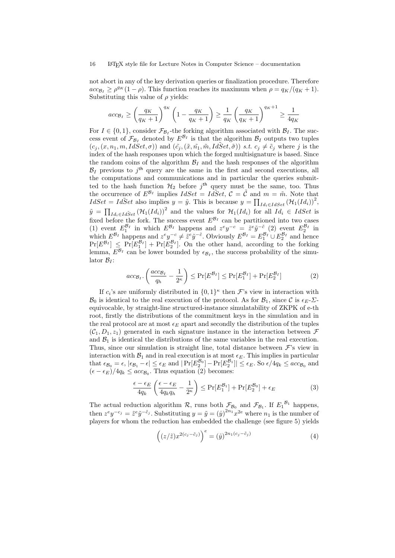not abort in any of the key derivation queries or finalization procedure. Therefore  $acc_{\mathcal{B}_I} \ge \rho^{q_K}(1-\rho)$ . This function reaches its maximum when  $\rho = q_K/(q_K+1)$ . Substituting this value of  $\rho$  yields:

$$
acc_{\mathcal{B}_I} \ge \left(\frac{q_K}{q_K+1}\right)^{q_K} \left(1 - \frac{q_K}{q_K+1}\right) \ge \frac{1}{q_K} \left(\frac{q_K}{q_K+1}\right)^{q_K+1} \ge \frac{1}{4q_K}
$$

For  $I \in \{0,1\}$ , consider  $\mathcal{F}_{\mathcal{B}_I}$ -the forking algorithm associated with  $\mathcal{B}_I$ . The success event of  $\mathcal{F}_{\mathcal{B}_I}$  denoted by  $E^{\mathcal{B}_I}$  is that the algorithm  $\mathcal{B}_I$  outputs two tuples  $(c_j, (x, n_1, m, IdSet, \sigma))$  and  $(\tilde{c}_j, (\tilde{x}, \tilde{n_1}, \tilde{m}, IdSet, \tilde{\sigma}))$  s.t.  $c_j \neq \tilde{c}_j$  where j is the index of the hash responses upon which the forged multisignature is based. Since the random coins of the algorithm  $B_I$  and the hash responses of the algorithm  $\mathcal{B}_I$  previous to j<sup>th</sup> query are the same in the first and second executions, all the computations and communications and in particular the queries submitted to the hash function  $\mathcal{H}_2$  before  $j^{\text{th}}$  query must be the same, too. Thus the occurrence of  $E^{\mathcal{B}_I}$  implies  $IdSet = IdSet$ ,  $\mathcal{C} = \tilde{\mathcal{C}}$  and  $m = \tilde{m}$ . Note that  $IdSet = IdSet$  also implies  $y = \tilde{y}$ . This is because  $y = \prod_{Id_i \in IdSet} (\mathcal{H}_1(Id_i))^2$ ,  $\tilde{y} = \prod_{Id_i \in Id\tilde{S}et} (\mathcal{H}_1(Id_i))^2$  and the values for  $\mathcal{H}_1(Id_i)$  for all  $Id_i \in IdSet$  is fixed before the fork. The success event  $E^{\mathcal{B}_I}$  can be partitioned into two cases (1) event  $E_1^{\mathcal{B}_I}$  in which  $E^{\mathcal{B}_I}$  happens and  $z^e y^{-c} = \tilde{z}^e \tilde{y}^{-\tilde{c}}$  (2) event  $E_2^{\mathcal{B}_I}$  in which  $E^{\mathcal{B}_I}$  happens and  $z^e y^{-c} \neq \tilde{z}^e \tilde{y}^{-\tilde{c}}$ . Obviously  $E^{\mathcal{B}_I} = E_1^{\mathcal{B}_I} \cup E_2^{\mathcal{B}_I}$  and hence  $\Pr[E^{\mathcal{B}_I}] \leq \Pr[E_1^{\mathcal{B}_I}] + \Pr[E_2^{\mathcal{B}_I}].$  On the other hand, according to the forking lemma,  $E^{\mathcal{B}_I}$  can be lower bounded by  $\epsilon_{\mathcal{B}_I}$ , the success probability of the simulator  $B_I$ :

$$
acc_{\mathcal{B}_I} \cdot \left(\frac{acc_{\mathcal{B}_I}}{q_h} - \frac{1}{2^{\kappa}}\right) \le \Pr[E^{\mathcal{B}_I}] \le \Pr[E_1^{\mathcal{B}_I}] + \Pr[E_2^{\mathcal{B}_I}] \tag{2}
$$

If  $c_i$ 's are uniformly distributed in  $\{0,1\}^{\kappa}$  then  $\mathcal{F}$ 's view in interaction with  $\mathcal{B}_0$  is identical to the real execution of the protocol. As for  $\mathcal{B}_1$ , since C is  $\epsilon_E$ - $\Sigma$ equivocable, by straight-line structured-instance simulatability of ZKPK of e-th root, firstly the distributions of the commitment keys in the simulation and in the real protocol are at most  $\epsilon_E$  apart and secondly the distribution of the tuples  $(C_1, D_1, z_1)$  generated in each signature instance in the interaction between  $\mathcal F$ and  $\mathcal{B}_1$  is identical the distributions of the same variables in the real execution. Thus, since our simulation is straight line, total distance between  $\mathcal{F}$ 's view in interaction with  $\mathcal{B}_1$  and in real execution is at most  $\epsilon_E$ . This implies in particular that  $\epsilon_{\mathcal{B}_0} = \epsilon$ ,  $|\epsilon_{\mathcal{B}_1} - \epsilon| \leq \epsilon_E$  and  $|\Pr[E_2^{\mathcal{B}_0}] - \Pr[E_2^{\mathcal{B}_1}]| \leq \epsilon_E$ . So  $\epsilon/4q_k \leq acc_{\mathcal{B}_0}$  and  $(\epsilon - \epsilon_E)/4q_k \leq acc_{\mathcal{B}_0}$ . Thus equation (2) becomes:

$$
\frac{\epsilon - \epsilon_E}{4q_k} \left( \frac{\epsilon - \epsilon_E}{4q_kq_h} - \frac{1}{2^{\kappa}} \right) \le \Pr[E_1^{\mathcal{B}_1}] + \Pr[E_2^{\mathcal{B}_0}] + \epsilon_E \tag{3}
$$

The actual reduction algorithm  $\mathcal{R}$ , runs both  $\mathcal{F}_{\mathcal{B}_0}$  and  $\mathcal{F}_{\mathcal{B}_1}$ . If  $E_1^{B_1}$  happens, then  $z^e y^{-c_j} = \tilde{z}^e \tilde{y}^{-\tilde{c}_j}$ . Substituting  $y = \tilde{y} = (\mathring{y})^{2n_1} x^{2e}$  where  $n_1$  is the number of players for whom the reduction has embedded the challenge (see figure 5) yields

$$
\left( \left( z/\tilde{z} \right) x^{2(c_j - \tilde{c}_j)} \right)^e = \left( \mathring{y} \right)^{2n_1(c_j - \tilde{c}_j)} \tag{4}
$$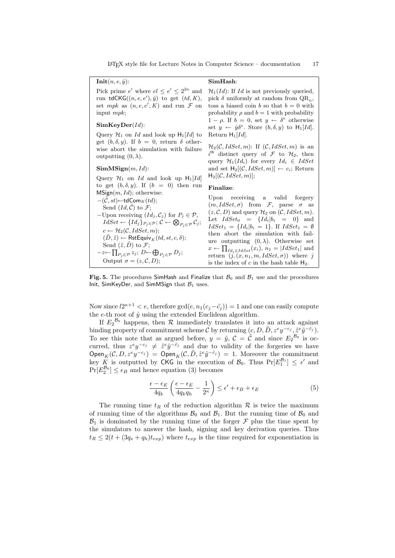LATEX style file for Lecture Notes in Computer Science – documentation 17

Init $(n, e, \hat{y})$ :

Pick prime  $e'$  where  $el \leq e' \leq 2^{2\kappa}$  and run tdCKG $((n, e, e'), \hat{y})$  to get  $(td, K),$ set mpk as  $(n, e, e', K)$  and run  $\mathcal F$  on input mpk;

#### $SimKeyDer(Id)$ :

Query  $\mathcal{H}_1$  on Id and look up  $H_1Id$  to get  $(b, \delta, y)$ . If  $b = 0$ , return  $\delta$  otherwise abort the simulation with failure outputting  $(0, \lambda)$ .

#### $SimMSign(m, Id):$

Query  $\mathcal{H}_1$  on Id and look up  $H_1[Id]$ to get  $(b, \delta, y)$ . If  $(b = 0)$  then run  $MSign(m, Id);$  otherwise:  $-(\tilde{\mathcal{C}}, st)$ ←tdCom $_K (td);$ Send  $(Id, \tilde{\mathcal{C}})$  to  $\mathcal{F}$ ;  $-\text{Upon receiving } (Id_i, \mathcal{C}_i) \text{ for } P_i \in \mathcal{P},$  $IdSet \leftarrow \{Id_j\}_{P_j \in \mathcal{P}}; \mathcal{C} \leftarrow \bigotimes_{P_j \in \mathcal{P}} \mathcal{C}_j;$  $c \leftarrow \mathcal{H}_2(\mathcal{C}, IdSet, m);$  $(\tilde{D}, \tilde{z}) \leftarrow$  RstEquiv<sub>K</sub> $(td, st, c, \delta);$ Send  $(\tilde{z}, \tilde{D})$  to  $\mathcal{F}$ ;  $-z \leftarrow \prod_{P_j \in \mathcal{P}} z_j; \ D \leftarrow \bigoplus_{P_j \in \mathcal{P}} D_j;$ Output  $\sigma = (z, \mathcal{C}, D);$ 

### SimHash:

 $\mathcal{H}_1(Id)$ : If Id is not previously queried, pick  $\delta$  uniformly at random from  $QR_n$ , toss a biased coin b so that  $b = 0$  with probability  $\rho$  and  $b = 1$  with probability  $1 - \rho$ . If  $b = 0$ , set  $y \leftarrow \delta^e$  otherwise set  $y \leftarrow \hat{y}\delta^e$ . Store  $(b, \delta, y)$  to  $H_1[Id]$ . Return  $H_1[Id]$ .

 $\mathcal{H}_2(\mathcal{C}, \text{IdSet}, m)$ : If  $(\mathcal{C}, \text{IdSet}, m)$  is an  $i<sup>th</sup>$  distinct query of  $\mathcal F$  to  $\mathcal H_2$ , then query  $\mathcal{H}_1(Id_i)$  for every  $Id_i \in \text{IdSet}$ and set  $H_2[(C, IdSet, m)] \leftarrow c_i$ ; Return  $H_2[(\mathcal{C}, IdSet, m)];$ 

#### Finalize:

Upon receiving a valid forgery  $(m, IdSet, \sigma)$  from F, parse  $\sigma$  as  $(z, \mathcal{C}, D)$  and query  $\mathcal{H}_2$  on  $(\mathcal{C}, IdSet, m)$ . Let  $IdSet_0 = \{Id_i | b_i = 0\}$  and  $IdSet_1 = \{Id_i | b_i = 1\}.$  If  $IdSet_1 = \emptyset$ then abort the simulation with failure outputting  $(0, \lambda)$ . Otherwise set  $x \leftarrow \prod_{Id_i \in IdSet}(x_i)$ ,  $n_1 = |IdSet_1|$  and return  $(j, (x, n_1, m, IdSet, \sigma))$  where j is the index of  $c$  in the hash table  $H_2$ .

Fig. 5. The procedures SimHash and Finalize that  $B_0$  and  $B_1$  use and the procedures Init, SimKeyDer, and SimMSign that  $B_1$  uses.

Now since  $l2^{\kappa+1} < e$ , therefore  $gcd(e, n_1(c_i - \tilde{c}_i)) = 1$  and one can easily compute the e-th root of  $\hat{y}$  using the extended Euclidean algorithm.

If  $E_2^{B_0}$  happens, then R immediately translates it into an attack against binding property of commitment scheme  $\mathcal C$  by returning  $(c, D, \tilde{D}, z^e y^{-c_j}, \tilde{z}^e \tilde{y}^{-\tilde{c}_j}).$ To see this note that as argued before,  $y = \tilde{y}$ ,  $C = \tilde{C}$  and since  $E_2^{B_0}$  is occurred, thus  $z^e y^{-c_j} \neq \tilde{z}^e \tilde{y}^{-\tilde{c}_j}$  and due to validity of the forgeries we have Open<sub>K</sub> $(C, D, z^e y^{-c_j}) =$  Open<sub>K</sub> $(C, \tilde{D}, \tilde{z}^e \tilde{y}^{-\tilde{c}_j}) = 1$ . Moreover the commitment key K is outputted by CKG in the execution of  $\mathcal{B}_0$ . Thus  $Pr[E_1^{\mathcal{B}_1}] \leq \epsilon'$  and  $Pr[E_2^{\mathcal{B}_0}] \leq \epsilon_B$  and hence equation (3) becomes

$$
\frac{\epsilon - \epsilon_E}{4q_k} \left( \frac{\epsilon - \epsilon_E}{4q_kq_h} - \frac{1}{2^{\kappa}} \right) \le \epsilon' + \epsilon_B + \epsilon_E \tag{5}
$$

The running time  $t_R$  of the reduction algorithm  $\mathcal R$  is twice the maximum of running time of the algorithms  $\mathcal{B}_0$  and  $\mathcal{B}_1$ . But the running time of  $\mathcal{B}_0$  and  $\mathcal{B}_1$  is dominated by the running time of the forger  $\mathcal F$  plus the time spent by the simulators to answer the hash, signing and key derivation queries. Thus  $t_R \leq 2(t + (3q_s + q_h)t_{exp})$  where  $t_{exp}$  is the time required for exponentiation in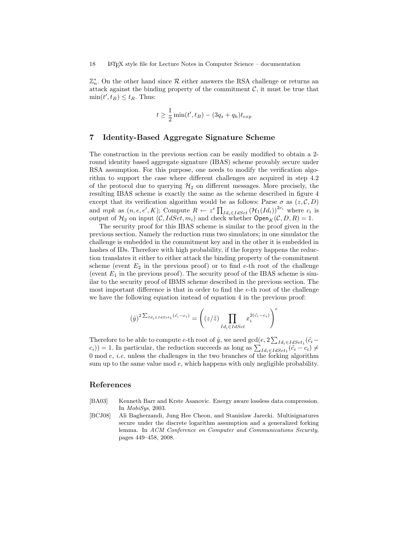$\mathbb{Z}_n^*$ . On the other hand since  $\mathcal R$  either answers the RSA challenge or returns an attack against the binding property of the commitment  $\mathcal{C}$ , it must be true that  $min(t', t_B) \leq t_R$ . Thus:

$$
t \ge \frac{1}{2} \min(t', t_B) - (3q_s + q_h)t_{exp}
$$

### 7 Identity-Based Aggregate Signature Scheme

The construction in the previous section can be easily modified to obtain a 2 round identity based aggregate signature (IBAS) scheme provably secure under RSA assumption. For this purpose, one needs to modify the verification algorithm to support the case where different challenges are acquired in step 4.2 of the protocol due to querying  $\mathcal{H}_2$  on different messages. More precisely, the resulting IBAS scheme is exactly the same as the scheme described in figure 4 except that its verification algorithm would be as follows: Parse  $\sigma$  as  $(z, \mathcal{C}, D)$ and mpk as  $(n, e, e', K)$ ; Compute  $R \leftarrow z^e \prod_{Id_i \in IdSet} (\mathcal{H}_1(Id_i))^{2c_i}$  where  $c_i$  is output of  $\mathcal{H}_2$  on input  $(\mathcal{C}, IdSet, m_i)$  and check whether  $\mathsf{Open}_K(\mathcal{C}, D, R) = 1$ .

The security proof for this IBAS scheme is similar to the proof given in the previous section. Namely the reduction runs two simulators; in one simulator the challenge is embedded in the commitment key and in the other it is embedded in hashes of IDs. Therefore with high probability, if the forgery happens the reduction translates it either to either attack the binding property of the commitment scheme (event  $E_2$  in the previous proof) or to find e-th root of the challenge (event  $E_1$  in the previous proof). The security proof of the IBAS scheme is similar to the security proof of IBMS scheme described in the previous section. The most important difference is that in order to find the e-th root of the challenge we have the following equation instead of equation 4 in the previous proof:

$$
(\mathring{y})^2^{\sum_{Id_i \in IdSet_1} (\tilde{c}_i - c_i)} = \left( (z/\tilde{z}) \prod_{Id_i \in IdSet} x_i^{2(\tilde{c}_i - c_i)} \right)^e
$$

Therefore to be able to compute e-th root of  $\mathring{y}$ , we need  $\gcd(e, 2\sum_{Id_i \in I dSet_1} (\tilde{c}_i (c_i)$ ) = 1. In particular, the reduction succeeds as long as  $\sum_{Id_i \in IdSet_1} (\tilde{c}_i - c_i) \neq$  $0 \mod e$ , *i.e.* unless the challenges in the two branches of the forking algorithm sum up to the same value mod  $e$ , which happens with only negligible probability.

### References

- [BA03] Kenneth Barr and Krste Asanovic. Energy aware lossless data compression. In MobiSys, 2003.
- [BCJ08] Ali Bagherzandi, Jung Hee Cheon, and Stanislaw Jarecki. Multisignatures secure under the discrete logarithm assumption and a generalized forking lemma. In ACM Conference on Computer and Communications Security, pages 449–458, 2008.